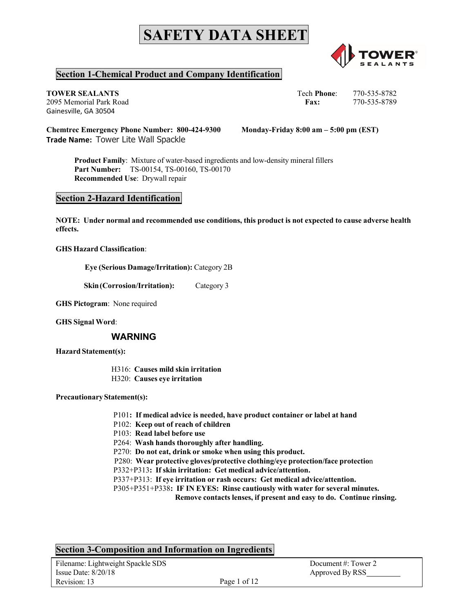

# **Section 1-Chemical Product and Company Identification**

Gainesville, GA 30504

**TOWER SEALANTS** Tech **Phone**: 770-535-8782 2095 Memorial Park Road **Fax:** 770-535-8789

**Chemtrec Emergency Phone Number: 800-424-9300 Monday-Friday 8:00 am – 5:00 pm (EST) Trade Name:** Tower Lite Wall Spackle

**Product Family**: Mixture of water-based ingredients and low-density mineral fillers **Part Number:** TS-00154, TS-00160, TS-00170 **Recommended Use**: Drywall repair

### **Section 2-Hazard Identification**

**NOTE: Under normal and recommended use conditions, this product is not expected to cause adverse health effects.**

**GHS Hazard Classification**:

**Eye (Serious Damage/Irritation):** Category 2B

**Skin(Corrosion/Irritation):** Category 3

**GHS Pictogram**: None required

**GHS Signal Word**:

### **WARNING**

**Hazard Statement(s):**

- H316: **Causes mild skin irritation**
- H320: **Causes eye irritation**

**PrecautionaryStatement(s):**

- P101**: If medical advice is needed, have product container or label at hand**
- P102: **Keep out of reach of children**

P103: **Read label before use**

- P264: **Wash hands thoroughly after handling.**
- P270: **Do not eat, drink or smoke when using this product.**
- P280: **Wear protective gloves/protective clothing/eye protection/face protectio**n
- P332+P313**: If skin irritation: Get medical advice/attention.**
- P337+P313: **If eye irritation or rash occurs: Get medical advice/attention.**
- P305+P351+P338**: IF IN EYES: Rinse cautiously with water for several minutes.**

**Remove contacts lenses, if present and easy to do. Continue rinsing.**

# **Section 3-Composition and Information on Ingredients**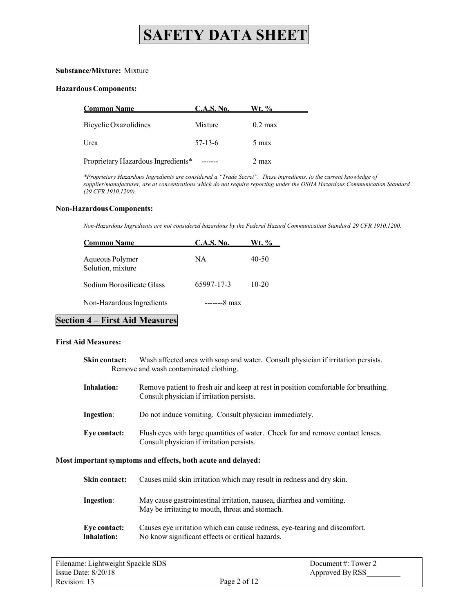#### **Substance/Mixture:** Mixture

#### **HazardousComponents:**

| <b>Common Name</b>                 | <b>C.A.S. No.</b> | Wt. %             |
|------------------------------------|-------------------|-------------------|
| Bicyclic Oxazolidines              | Mixture           | $0.2 \text{ max}$ |
| Urea                               | $57-13-6$         | 5 max             |
| Proprietary Hazardous Ingredients* |                   | $2 \text{ max}$   |

*\*Proprietary Hazardous Ingredients are considered a "Trade Secret". These ingredients, to the current knowledge of supplier/manufacturer, are at concentrations which do not require reporting under the OSHA Hazardous Communication Standard (29 CFR 1910.1200).*

#### **Non-HazardousComponents:**

*Non-Hazardous Ingredients are not considered hazardous by the Federal Hazard Communication Standard 29 CFR 1910.1200.*

| <b>Common Name</b>                   | C.A.S. No. | Wt. %     |
|--------------------------------------|------------|-----------|
| Aqueous Polymer<br>Solution, mixture | NA         | 40-50     |
| Sodium Borosilicate Glass            | 65997-17-3 | $10 - 20$ |
| Non-Hazardous Ingredients            | $---8$ max |           |

# **Section 4 – First Aid Measures**

#### **First Aid Measures:**

| Skin contact: | Wash affected area with soap and water. Consult physician if irritation persists. |  |
|---------------|-----------------------------------------------------------------------------------|--|
|               | Remove and wash contaminated clothing.                                            |  |

| Remove patient to fresh air and keep at rest in position comfortable for breathing. |
|-------------------------------------------------------------------------------------|
| Consult physician if irritation persists.                                           |
|                                                                                     |

| <b>Ingestion:</b> | Do not induce vomiting. Consult physician immediately. |  |  |
|-------------------|--------------------------------------------------------|--|--|
|-------------------|--------------------------------------------------------|--|--|

**Eye contact:** Flush eyes with large quantities of water. Check for and remove contact lenses. Consult physician if irritation persists.

#### **Most important symptoms and effects, both acute and delayed:**

| Skin contact: | Causes mild skin irritation which may result in redness and dry skin.                                                    |
|---------------|--------------------------------------------------------------------------------------------------------------------------|
| Ingestion:    | May cause gastrointestinal irritation, nausea, diarrhea and vomiting.<br>May be irritating to mouth, throat and stomach. |
| Eve contact:  | Causes eye irritation which can cause redness, eye-tearing and discomfort.                                               |

**Inhalation:** No know significant effects or critical hazards.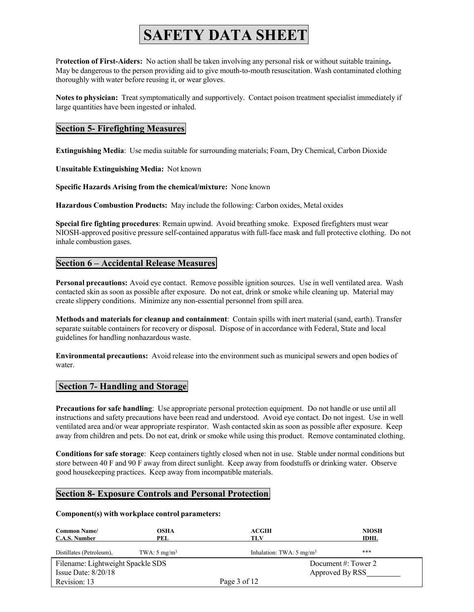P**rotection of First-Aiders:** No action shall be taken involving any personal risk or without suitable training**.** May be dangerous to the person providing aid to give mouth-to-mouth resuscitation. Wash contaminated clothing thoroughly with water before reusing it, or wear gloves.

**Notes to physician:** Treat symptomatically and supportively. Contact poison treatment specialist immediately if large quantities have been ingested or inhaled.

### **Section 5- Firefighting Measures**

**Extinguishing Media**: Use media suitable for surrounding materials; Foam, Dry Chemical, Carbon Dioxide

**Unsuitable Extinguishing Media:** Not known

**Specific Hazards Arising from the chemical/mixture:** None known

**Hazardous Combustion Products:** May include the following: Carbon oxides, Metal oxides

**Special fire fighting procedures**: Remain upwind. Avoid breathing smoke. Exposed firefighters must wear NIOSH-approved positive pressure self-contained apparatus with full-face mask and full protective clothing. Do not inhale combustion gases.

# **Section 6 – Accidental Release Measures**

**Personal precautions:** Avoid eye contact. Remove possible ignition sources. Use in well ventilated area. Wash contacted skin as soon as possible after exposure. Do not eat, drink or smoke while cleaning up. Material may create slippery conditions. Minimize any non-essential personnel from spill area.

**Methods and materials for cleanup and containment**: Contain spills with inert material (sand, earth). Transfer separate suitable containers for recovery or disposal. Dispose of in accordance with Federal, State and local guidelines for handling nonhazardous waste.

**Environmental precautions:** Avoid release into the environment such as municipal sewers and open bodies of water.

### **Section 7- Handling and Storage**

**Precautions for safe handling**: Use appropriate personal protection equipment. Do not handle or use until all instructions and safety precautions have been read and understood. Avoid eye contact. Do not ingest. Use in well ventilated area and/or wear appropriate respirator. Wash contacted skin as soon as possible after exposure. Keep away from children and pets. Do not eat, drink or smoke while using this product. Remove contaminated clothing.

**Conditions for safe storage**: Keep containers tightly closed when not in use. Stable under normal conditions but store between 40 F and 90 F away from direct sunlight. Keep away from foodstuffs or drinking water. Observe good housekeeping practices. Keep away from incompatible materials.

### **Section 8- Exposure Controls and Personal Protection**

#### **Component(s) with workplace control parameters:**

| <b>Common Name/</b><br>C.A.S. Number | <b>OSHA</b><br>PEL      | <b>ACGIH</b><br>TLV                 | <b>NIOSH</b><br><b>IDHL</b> |
|--------------------------------------|-------------------------|-------------------------------------|-----------------------------|
| Distillates (Petroleum),             | TWA: $5 \text{ mg/m}^3$ | Inhalation: TWA: $5 \text{ mg/m}^3$ | ***                         |
| Filename: Lightweight Spackle SDS    |                         |                                     | Document#: Tower 2          |
| Issue Date: $8/20/18$                |                         |                                     | Approved By RSS             |
| Revision: 13                         |                         | Page 3 of 12                        |                             |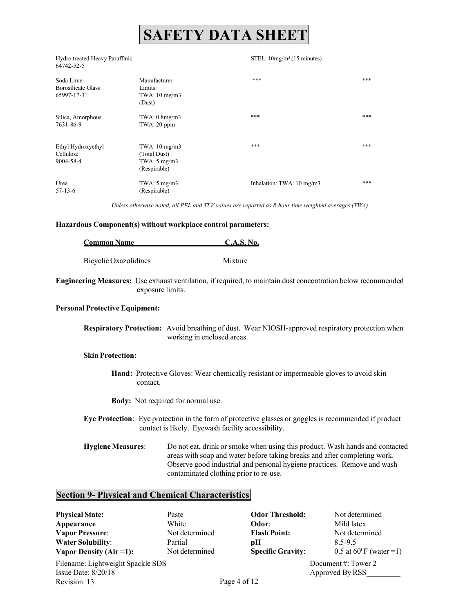Hydro treated Heavy Paraffinic 64742-52-5

#### STEL: 10mg/m3 (15 minutes)

| Soda Lime<br><b>Borosilicate Glass</b><br>65997-17-3 | Manufacturer<br>Limits:<br>$TWA: 10$ mg/m $3$<br>(Dust)            | ***                                | *** |
|------------------------------------------------------|--------------------------------------------------------------------|------------------------------------|-----|
| Silica, Amorphous<br>7631-86-9                       | TWA: 0.8mg/m3<br>$TWA:20$ ppm                                      | ***                                | *** |
| Ethyl Hydroxyethyl<br>Cellulose<br>9004-58-4         | $TWA: 10$ mg/m $3$<br>(Total Dust)<br>TWA: 5 mg/m3<br>(Respirable) | ***                                | *** |
| Urea<br>$57-13-6$                                    | TWA: $5 \text{ mg/m}$<br>(Respirable)                              | Inhalation: TWA: $10 \text{ mg/m}$ | *** |

*Unless otherwise noted, all PEL and TLV values are reported as 8-hour time weighted averages (TWA).*

#### **Hazardous Component(s) without workplace control parameters:**

| <b>Common Name</b>    | <b>C.A.S. No.</b> |
|-----------------------|-------------------|
|                       |                   |
| Bicyclic Oxazolidines | Mixture           |

**Engineering Measures:** Use exhaust ventilation, if required, to maintain dust concentration below recommended exposure limits.

#### **Personal Protective Equipment:**

**Respiratory Protection:** Avoid breathing of dust. Wear NIOSH-approved respiratory protection when working in enclosed areas.

### **Skin Protection:**

**Hand:** Protective Gloves: Wear chemically resistant or impermeable gloves to avoid skin contact.

**Body:** Not required for normal use.

**Eye Protection**: Eye protection in the form of protective glasses or goggles is recommended if product contact is likely. Eyewash facility accessibility.

**Hygiene Measures**: Do not eat, drink or smoke when using this product. Wash hands and contacted areas with soap and water before taking breaks and after completing work. Observe good industrial and personal hygiene practices. Remove and wash contaminated clothing prior to re-use.

# **Section 9- Physical and Chemical Characteristics**

| <b>Physical State:</b>   | Paste          | <b>Odor Threshold:</b>   | Not determined                    |
|--------------------------|----------------|--------------------------|-----------------------------------|
| Appearance               | White          | Odor:                    | Mild latex                        |
| <b>Vapor Pressure:</b>   | Not determined | <b>Flash Point:</b>      | Not determined                    |
| <b>Water Solubility:</b> | Partial        | рH                       | 8.5-9.5                           |
| Vapor Density (Air = 1): | Not determined | <b>Specific Gravity:</b> | 0.5 at $60^{\circ}$ F (water = 1) |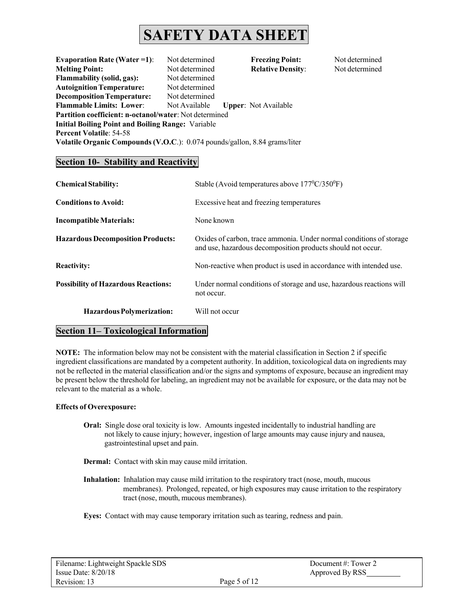**Evaporation Rate (Water =1)**: Not determined **Freezing Point:** Not determined **Melting Point:** Not determined **Relative Density**: Not determined **Flammability (solid, gas):** Not determined **AutoignitionTemperature:** Not determined **Decomposition Temperature:** Not determined **Flammable Limits: Lower**: Not Available **Upper**: Not Available **Partition coefficient: n-octanol/water**: Not determined **Initial Boiling Point and Boiling Range:** Variable **Percent Volatile**: 54-58 **Volatile Organic Compounds (V.O.C**.): 0.074 pounds/gallon, 8.84 grams/liter

# **Section 10- Stability and Reactivity**

| <b>Chemical Stability:</b>                 | Stable (Avoid temperatures above $177^{\circ}C/350^{\circ}F$ )                                                                     |
|--------------------------------------------|------------------------------------------------------------------------------------------------------------------------------------|
| <b>Conditions to Avoid:</b>                | Excessive heat and freezing temperatures                                                                                           |
| Incompatible Materials:                    | None known                                                                                                                         |
| <b>Hazardous Decomposition Products:</b>   | Oxides of carbon, trace ammonia. Under normal conditions of storage<br>and use, hazardous decomposition products should not occur. |
| <b>Reactivity:</b>                         | Non-reactive when product is used in accordance with intended use.                                                                 |
| <b>Possibility of Hazardous Reactions:</b> | Under normal conditions of storage and use, hazardous reactions will<br>not occur.                                                 |
| <b>Hazardous Polymerization:</b>           | Will not occur                                                                                                                     |

# **Section 11– Toxicological Information**

**NOTE:** The information below may not be consistent with the material classification in Section 2 if specific ingredient classifications are mandated by a competent authority. In addition, toxicological data on ingredients may not be reflected in the material classification and/or the signs and symptoms of exposure, because an ingredient may be present below the threshold for labeling, an ingredient may not be available for exposure, or the data may not be relevant to the material as a whole.

#### **Effects of Overexposure:**

**Oral:** Single dose oral toxicity is low. Amounts ingested incidentally to industrial handling are not likely to cause injury; however, ingestion of large amounts may cause injury and nausea, gastrointestinal upset and pain.

**Dermal:** Contact with skin may cause mild irritation.

**Inhalation:** Inhalation may cause mild irritation to the respiratory tract (nose, mouth, mucous membranes). Prolonged, repeated, or high exposures may cause irritation to the respiratory tract (nose, mouth, mucous membranes).

**Eyes:** Contact with may cause temporary irritation such as tearing, redness and pain.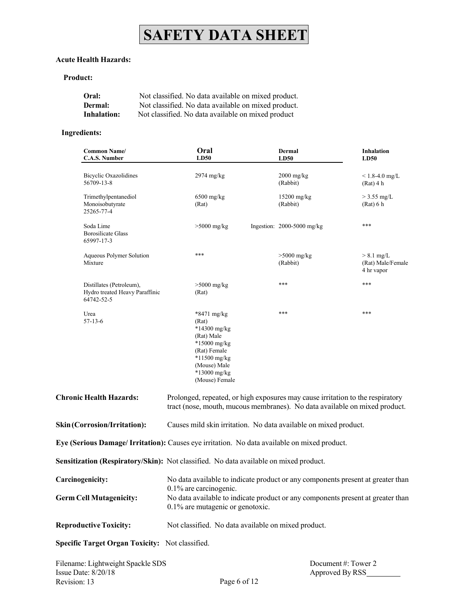### **Acute Health Hazards:**

### **Product:**

| Oral:              | Not classified. No data available on mixed product. |
|--------------------|-----------------------------------------------------|
| Dermal:            | Not classified. No data available on mixed product. |
| <b>Inhalation:</b> | Not classified. No data available on mixed product  |

### **Ingredients:**

| <b>Common Name/</b><br><b>C.A.S. Number</b>                                                  | Oral<br><b>LD50</b>                                                                                                                                          | <b>Dermal</b><br>LD50        | <b>Inhalation</b><br>LD50                       |  |
|----------------------------------------------------------------------------------------------|--------------------------------------------------------------------------------------------------------------------------------------------------------------|------------------------------|-------------------------------------------------|--|
| <b>Bicyclic Oxazolidines</b><br>56709-13-8                                                   | 2974 mg/kg                                                                                                                                                   | $2000$ mg/kg<br>(Rabbit)     | $\leq 1.8 - 4.0$ mg/L<br>$(Rat)$ 4 h            |  |
| Trimethylpentanediol<br>Monoisobutyrate<br>25265-77-4                                        | $6500$ mg/kg<br>(Rat)                                                                                                                                        | $15200$ mg/kg<br>(Rabbit)    | $>$ 3.55 mg/L<br>(Rat) 6 h                      |  |
| Soda Lime<br><b>Borosilicate Glass</b><br>65997-17-3                                         | $>5000$ mg/kg                                                                                                                                                | Ingestion: $2000-5000$ mg/kg | ***                                             |  |
| Aqueous Polymer Solution<br>Mixture                                                          | ***                                                                                                                                                          | $>5000$ mg/kg<br>(Rabbit)    | $> 8.1$ mg/L<br>(Rat) Male/Female<br>4 hr vapor |  |
| Distillates (Petroleum),<br>Hydro treated Heavy Paraffinic<br>64742-52-5                     | $>5000$ mg/kg<br>(Rat)                                                                                                                                       | ***                          | ***                                             |  |
| Urea<br>57-13-6                                                                              | *8471 mg/kg<br>(Rat)<br>$*14300$ mg/kg<br>(Rat) Male<br>*15000 mg/kg<br>(Rat) Female<br>$*11500$ mg/kg<br>(Mouse) Male<br>*13000 mg/kg<br>(Mouse) Female     | ***                          | ***                                             |  |
| <b>Chronic Health Hazards:</b>                                                               | Prolonged, repeated, or high exposures may cause irritation to the respiratory<br>tract (nose, mouth, mucous membranes). No data available on mixed product. |                              |                                                 |  |
| <b>Skin (Corrosion/Irritation):</b>                                                          | Causes mild skin irritation. No data available on mixed product.                                                                                             |                              |                                                 |  |
| Eye (Serious Damage/ Irritation): Causes eye irritation. No data available on mixed product. |                                                                                                                                                              |                              |                                                 |  |
| Sensitization (Respiratory/Skin): Not classified. No data available on mixed product.        |                                                                                                                                                              |                              |                                                 |  |
| Carcinogenicity:                                                                             | No data available to indicate product or any components present at greater than                                                                              |                              |                                                 |  |
| <b>Germ Cell Mutagenicity:</b>                                                               | 0.1% are carcinogenic.<br>No data available to indicate product or any components present at greater than<br>0.1% are mutagenic or genotoxic.                |                              |                                                 |  |
| <b>Reproductive Toxicity:</b>                                                                | Not classified. No data available on mixed product.                                                                                                          |                              |                                                 |  |
| Specific Target Organ Toxicity: Not classified.                                              |                                                                                                                                                              |                              |                                                 |  |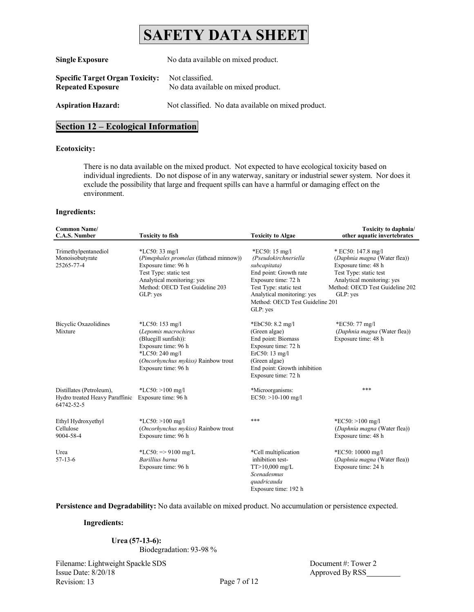| <b>Single Exposure</b>                                             | No data available on mixed product.                    |  |
|--------------------------------------------------------------------|--------------------------------------------------------|--|
| <b>Specific Target Organ Toxicity:</b><br><b>Repeated Exposure</b> | Not classified.<br>No data available on mixed product. |  |
| <b>Aspiration Hazard:</b>                                          | Not classified. No data available on mixed product.    |  |

# **Section 12 – Ecological Information**

#### **Ecotoxicity:**

There is no data available on the mixed product. Not expected to have ecological toxicity based on individual ingredients. Do not dispose of in any waterway, sanitary or industrial sewer system. Nor does it exclude the possibility that large and frequent spills can have a harmful or damaging effect on the environment.

#### **Ingredients:**

| <b>Common Name/</b><br><b>C.A.S. Number</b>                              | <b>Toxicity to fish</b>                                                                                                                                                                 | <b>Toxicity to Algae</b>                                                                                                                                                                                                 | Toxicity to daphnia/<br>other aquatic invertebrates                                                                                                                              |
|--------------------------------------------------------------------------|-----------------------------------------------------------------------------------------------------------------------------------------------------------------------------------------|--------------------------------------------------------------------------------------------------------------------------------------------------------------------------------------------------------------------------|----------------------------------------------------------------------------------------------------------------------------------------------------------------------------------|
| Trimethylpentanediol<br>Monoisobutyrate<br>25265-77-4                    | $*LC50:33$ mg/l<br>(Pimephales promelas (fathead minnow))<br>Exposure time: 96 h<br>Test Type: static test<br>Analytical monitoring: yes<br>Method: OECD Test Guideline 203<br>GLP: yes | *EC50: $15 \text{ mg/l}$<br>(Pseudokirchneriella<br>subcapitata)<br>End point: Growth rate<br>Exposure time: 72 h<br>Test Type: static test<br>Analytical monitoring: yes<br>Method: OECD Test Guideline 201<br>GLP: yes | * EC50: 147.8 mg/l<br>(Daphnia magna (Water flea))<br>Exposure time: 48 h<br>Test Type: static test<br>Analytical monitoring: yes<br>Method: OECD Test Guideline 202<br>GLP: yes |
| <b>Bicyclic Oxazolidines</b><br>Mixture                                  | *LC50: $153$ mg/l<br>(Lepomis macrochirus<br>(Bluegill sunfish)):<br>Exposure time: 96 h<br>*LC50: 240 mg/l<br>(Oncorhynchus mykiss) Rainbow trout<br>Exposure time: 96 h               | *EbC50: 8.2 mg/l<br>(Green algae)<br>End point: Biomass<br>Exposure time: 72 h<br>ErC50:13 mg/l<br>(Green algae)<br>End point: Growth inhibition<br>Exposure time: 72 h                                                  | *EC50: 77 mg/l<br>(Daphnia magna (Water flea))<br>Exposure time: 48 h                                                                                                            |
| Distillates (Petroleum),<br>Hydro treated Heavy Paraffinic<br>64742-52-5 | *LC50: $>100$ mg/l<br>Exposure time: 96 h                                                                                                                                               | *Microorganisms:<br>$EC50: >10-100$ mg/l                                                                                                                                                                                 | ***                                                                                                                                                                              |
| Ethyl Hydroxyethyl<br>Cellulose<br>9004-58-4                             | *LC50: $>100$ mg/l<br>(Oncorhynchus mykiss) Rainbow trout<br>Exposure time: 96 h                                                                                                        | ***                                                                                                                                                                                                                      | *EC50: $>100$ mg/l<br>(Daphnia magna (Water flea))<br>Exposure time: 48 h                                                                                                        |
| Urea<br>$57-13-6$                                                        | *LC50: $\Rightarrow$ 9100 mg/L<br>Barillius barna<br>Exposure time: 96 h                                                                                                                | *Cell multiplication<br>inhibition test-<br>$TT > 10,000$ mg/L<br>Scenadesmus<br>quadricauda<br>Exposure time: 192 h                                                                                                     | *EC50: 10000 mg/l<br>(Daphnia magna (Water flea))<br>Exposure time: 24 h                                                                                                         |

### **Persistence and Degradability:** No data available on mixed product. No accumulation or persistence expected.

#### **Ingredients:**

#### **Urea (57-13-6):**

Biodegradation: 93-98 %

Filename: Lightweight Spackle SDS Issue Date: 8/20/18 Revision: 13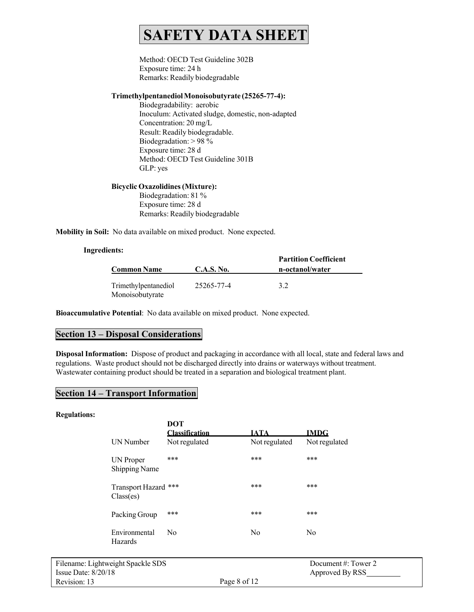Method: OECD Test Guideline 302B Exposure time: 24 h Remarks: Readily biodegradable

#### **TrimethylpentanediolMonoisobutyrate (25265-77-4):**

Biodegradability: aerobic Inoculum: Activated sludge, domestic, non-adapted Concentration: 20 mg/L Result: Readily biodegradable. Biodegradation: > 98 % Exposure time: 28 d Method: OECD Test Guideline 301B GLP: yes

#### **Bicyclic Oxazolidines(Mixture):**

Biodegradation: 81 % Exposure time: 28 d Remarks: Readily biodegradable

**Mobility in Soil:** No data available on mixed product. None expected.

#### **Ingredients:**

|                                         |            | <b>Partition Coefficient</b> |  |  |
|-----------------------------------------|------------|------------------------------|--|--|
| <b>Common Name</b>                      | C.A.S. No. | n-octanol/water              |  |  |
| Trimethylpentanediol<br>Monoisobutyrate | 25265-77-4 | 3.2                          |  |  |

**Bioaccumulative Potential**: No data available on mixed product. None expected.

### **Section 13 – Disposal Considerations**

**Disposal Information:** Dispose of product and packaging in accordance with all local, state and federal laws and regulations. Waste product should not be discharged directly into drains or waterways without treatment. Wastewater containing product should be treated in a separation and biological treatment plant.

### **Section 14 – Transport Information**

#### **Regulations:**

|                                   | DOT<br><b>Classification</b> | <b>IATA</b>   | <b>IMDG</b>      |
|-----------------------------------|------------------------------|---------------|------------------|
| <b>UN</b> Number                  | Not regulated                | Not regulated | Not regulated    |
| UN Proper<br><b>Shipping Name</b> | ***                          | ***           | ***              |
| Transport Hazard ***<br>Class(es) |                              | ***           | ***              |
| Packing Group                     | ***                          | ***           | ***              |
| Environmental<br><b>Hazards</b>   | No                           | No            | N <sub>0</sub>   |
| veight Spackle SDS                |                              |               | Document #: Towe |

er 2 Approved By RSS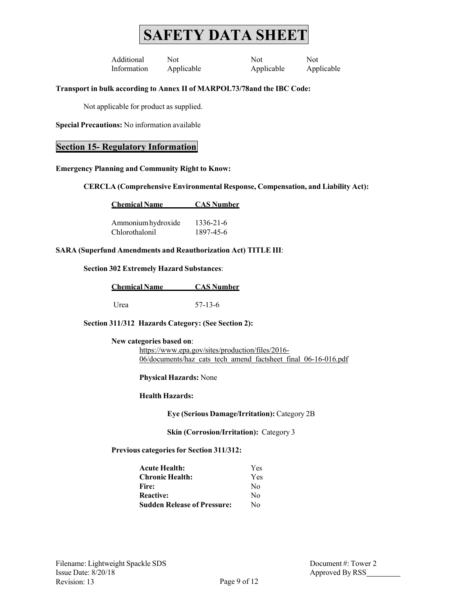Additional Not Not Not Information Applicable Applicable Applicable

# **Transport in bulk according to Annex II of MARPOL73/78and the IBC Code:**

Not applicable for product as supplied.

**Special Precautions:** No information available

# **Section 15- Regulatory Information**

#### **Emergency Planning and Community Right to Know:**

**CERCLA (Comprehensive Environmental Response, Compensation, and Liability Act):**

| <b>Chemical Name</b> | <b>CAS Number</b> |
|----------------------|-------------------|
|                      |                   |

| Ammonium hydroxide | 1336-21-6 |
|--------------------|-----------|
| Chlorothalonil     | 1897-45-6 |

#### **SARA (Superfund Amendments and Reauthorization Act) TITLE III**:

### **Section 302 Extremely Hazard Substances**:

| <b>Chemical Name</b> | <b>CAS Number</b> |  |  |
|----------------------|-------------------|--|--|
|                      |                   |  |  |
| Urea                 | $57-13-6$         |  |  |

**Section 311/312 Hazards Category: (See Section 2):**

**New categories based on**:

[https://www.epa.gov/sites/production/files/2016-](https://www.epa.gov/sites/production/files/2016-06/documents/haz_cats_tech_amend_factsheet_final_06-16-016.pdf) [06/documents/haz\\_cats\\_tech\\_amend\\_factsheet\\_final\\_06-16-016.pdf](https://www.epa.gov/sites/production/files/2016-06/documents/haz_cats_tech_amend_factsheet_final_06-16-016.pdf)

**Physical Hazards:** None

#### **Health Hazards:**

**Eye (Serious Damage/Irritation):** Category 2B

**Skin (Corrosion/Irritation):** Category 3

**Previous categories for Section 311/312:**

| <b>Acute Health:</b>               | Yes |
|------------------------------------|-----|
| <b>Chronic Health:</b>             | Yes |
| Fire:                              | No  |
| <b>Reactive:</b>                   | No  |
| <b>Sudden Release of Pressure:</b> | No  |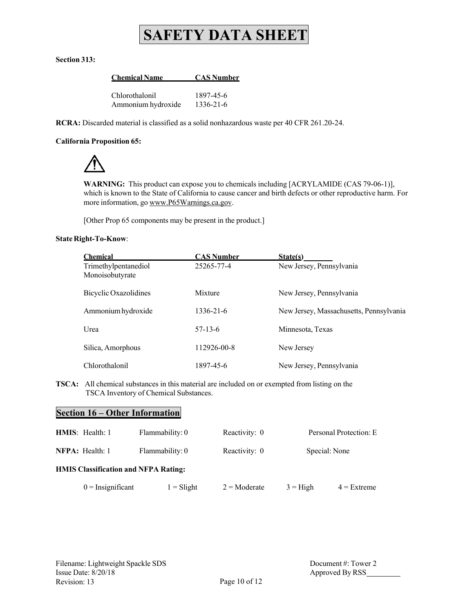#### **Section 313:**

**Chemical Name CAS Number**

| Chlorothalonil     | 1897-45-6 |
|--------------------|-----------|
| Ammonium hydroxide | 1336-21-6 |

**RCRA:** Discarded material is classified as a solid nonhazardous waste per 40 CFR 261.20-24.

#### **California Proposition 65:**

**WARNING:** This product can expose you to chemicals including [ACRYLAMIDE (CAS 79-06-1)], which is known to the State of California to cause cancer and birth defects or other reproductive harm. For more information, go [www.P65Warnings.ca.gov.](http://www.p65warnings.ca.gov/)

[Other Prop 65 components may be present in the product.]

#### **State Right-To-Know**:

| <b>Chemical</b>                         | <b>CAS Number</b> | State(s)                                |
|-----------------------------------------|-------------------|-----------------------------------------|
| Trimethylpentanediol<br>Monoisobutyrate | 25265-77-4        | New Jersey, Pennsylvania                |
| Bicyclic Oxazolidines                   | Mixture           | New Jersey, Pennsylvania                |
| Ammonium hydroxide                      | 1336-21-6         | New Jersey, Massachusetts, Pennsylvania |
| Urea                                    | $57-13-6$         | Minnesota, Texas                        |
| Silica, Amorphous                       | 112926-00-8       | New Jersey                              |
| Chlorothalonil                          | 1897-45-6         | New Jersey, Pennsylvania                |

**TSCA:** All chemical substances in this material are included on or exempted from listing on the TSCA Inventory of Chemical Substances.

# **Section 16 – Other Information**

| <b>HMIS</b> : Health: 1                     | Flammability: 0 | Reactivity: 0         |            | Personal Protection: E |
|---------------------------------------------|-----------------|-----------------------|------------|------------------------|
| <b>NFPA</b> : Health: 1                     | Flammability: 0 | Reactivity: 0         |            | Special: None          |
| <b>HMIS Classification and NFPA Rating:</b> |                 |                       |            |                        |
| $0 =$ Insignificant                         | $1 =$ Slight    | $2 = \text{Moderate}$ | $3 =$ High | $4$ = Extreme          |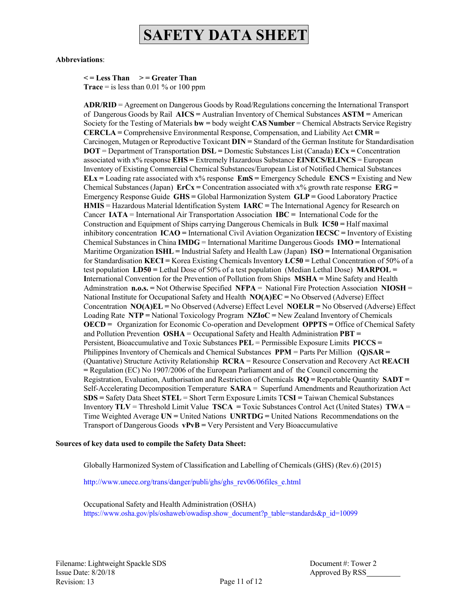#### **Abbreviations**:

**< = Less Than > = Greater Than**

**Trace** = is less than  $0.01\%$  or  $100$  ppm

**ADR/RID** = Agreement on Dangerous Goods by Road/Regulations concerning the International Transport of Dangerous Goods by Rail **AICS =** Australian Inventory of Chemical Substances **ASTM =** American Society for the Testing of Materials **bw =** body weight **CAS Number** = Chemical Abstracts Service Registry **CERCLA =** Comprehensive Environmental Response, Compensation, and Liability Act **CMR =** Carcinogen, Mutagen or Reproductive Toxicant **DIN =** Standard of the German Institute for Standardisation **DOT** = Department of Transportation **DSL =** Domestic Substances List (Canada) **ECx =** Concentration associated with x% response **EHS =** Extremely Hazardous Substance **EINECS/ELINCS** = European Inventory of Existing Commercial Chemical Substances/European List of Notified Chemical Substances **ELx =** Loading rate associated with x% response **EmS =** Emergency Schedule **ENCS =** Existing and New Chemical Substances (Japan)  $\mathbf{E} \cdot \mathbf{r} = \mathbf{C}$  oncentration associated with  $x\%$  growth rate response  $\mathbf{E} \cdot \mathbf{R} \cdot \mathbf{G} =$ Emergency Response Guide **GHS =** Global Harmonization System **GLP =** Good Laboratory Practice **HMIS** = Hazardous Material Identification System **IARC =** The International Agency for Research on Cancer **IATA** = International Air Transportation Association **IBC =** International Code for the Construction and Equipment of Ships carrying Dangerous Chemicals in Bulk **IC50 =** Half maximal inhibitory concentration **ICAO =** International Civil Aviation Organization **IECSC =** Inventory of Existing Chemical Substances in China **IMDG** = International Maritime Dangerous Goods **IMO =** International Maritime Organization **ISHL =** Industrial Safety and Health Law (Japan) **ISO =** International Organisation for Standardisation **KECI =** Korea Existing Chemicals Inventory **LC50 =** Lethal Concentration of 50% of a test population **LD50 =** Lethal Dose of 50% of a test population (Median Lethal Dose) **MARPOL = I**nternational Convention for the Prevention of Pollution from Ships **MSHA =** Mine Safety and Health Adminstration **n.o.s. =** Not Otherwise Specified **NFPA** = National Fire Protection Association **NIOSH** = National Institute for Occupational Safety and Health **NO(A)EC =** No Observed (Adverse) Effect Concentration **NO(A)EL =** No Observed (Adverse) Effect Level **NOELR =** No Observed (Adverse) Effect Loading Rate **NTP =** National Toxicology Program **NZIoC =** New Zealand Inventory of Chemicals **OECD =** Organization for Economic Co-operation and Development **OPPTS =** Office of Chemical Safety and Pollution Prevention **OSHA** = Occupational Safety and Health Administration **PBT =**  Persistent, Bioaccumulative and Toxic Substances **PEL** = Permissible Exposure Limits **PICCS =** Philippines Inventory of Chemicals and Chemical Substances **PPM** = Parts Per Million **(Q)SAR =** (Quantative) Structure Activity Relationship **RCRA** = Resource Conservation and Recovery Act **REACH =** Regulation (EC) No 1907/2006 of the European Parliament and of the Council concerning the Registration, Evaluation, Authorisation and Restriction of Chemicals **RQ =** Reportable Quantity **SADT =** Self-Accelerating Decomposition Temperature **SARA** = Superfund Amendments and Reauthorization Act **SDS =** Safety Data Sheet **STEL** = Short Term Exposure Limits T**CSI =** Taiwan Chemical Substances Inventory **TLV** = Threshold Limit Value **TSCA =** Toxic Substances Control Act (United States) **TWA** = Time Weighted Average **UN =** United Nations **UNRTDG =** United Nations Recommendations on the Transport of Dangerous Goods **vPvB =** Very Persistent and Very Bioaccumulative

#### **Sources of key data used to compile the Safety Data Sheet:**

Globally Harmonized System of Classification and Labelling of Chemicals (GHS) (Rev.6) (2015)

[http://www.unece.org/trans/danger/publi/ghs/ghs\\_rev06/06files\\_e.html](http://www.unece.org/trans/danger/publi/ghs/ghs_rev06/06files_e.html)

Occupational Safety and Health Administration (OSHA) http[s://www.osha.gov/pls/oshaweb/owadisp.show\\_document?p\\_table=standards&p\\_id=10099](http://www.osha.gov/pls/oshaweb/owadisp.show_document?p_table=standards&p_id=10099)